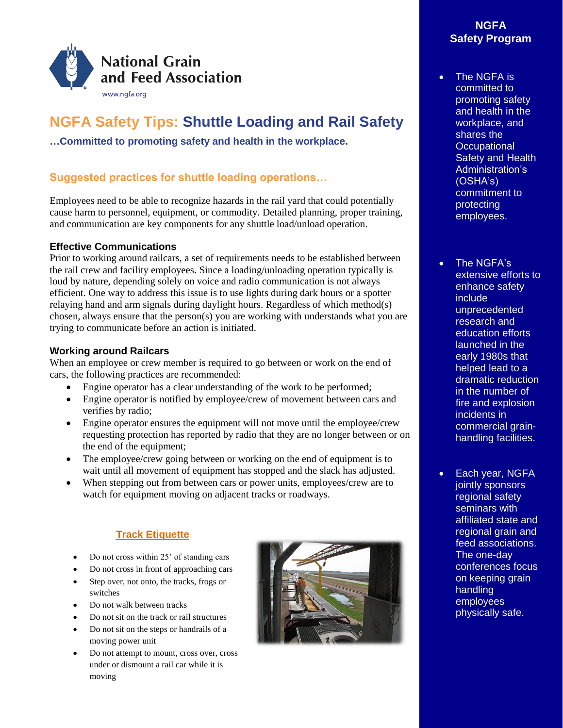

# **NGFA Safety Tips: Shuttle Loading and Rail Safety**

**…Committed to promoting safety and health in the workplace.**

## **Suggested practices for shuttle loading operations…**

Employees need to be able to recognize hazards in the rail yard that could potentially cause harm to personnel, equipment, or commodity. Detailed planning, proper training, and communication are key components for any shuttle load/unload operation.

#### **Effective Communications**

Prior to working around railcars, a set of requirements needs to be established between the rail crew and facility employees. Since a loading/unloading operation typically is loud by nature, depending solely on voice and radio communication is not always efficient. One way to address this issue is to use lights during dark hours or a spotter relaying hand and arm signals during daylight hours. Regardless of which method(s) chosen, always ensure that the person(s) you are working with understands what you are trying to communicate before an action is initiated.

### **Working around Railcars**

When an employee or crew member is required to go between or work on the end of cars, the following practices are recommended:

- Engine operator has a clear understanding of the work to be performed;
- Engine operator is notified by employee/crew of movement between cars and verifies by radio;
- Engine operator ensures the equipment will not move until the employee/crew requesting protection has reported by radio that they are no longer between or on the end of the equipment;
- The employee/crew going between or working on the end of equipment is to wait until all movement of equipment has stopped and the slack has adjusted.
- When stepping out from between cars or power units, employees/crew are to watch for equipment moving on adjacent tracks or roadways.

## **Track Etiquette**

- Do not cross within 25' of standing cars
- Do not cross in front of approaching cars
- Step over, not onto, the tracks, frogs or switches
- Do not walk between tracks
- Do not sit on the track or rail structures
- Do not sit on the steps or handrails of a moving power unit
- Do not attempt to mount, cross over, cross under or dismount a rail car while it is moving



## **NGFA Safety Program**

- The NGFA is committed to promoting safety and health in the workplace, and shares the **Occupational Safety and Health** Administration's (OSHA's) commitment to protecting employees.
- The NGFA's extensive efforts to enhance safety include unprecedented research and education efforts launched in the early 1980s that helped lead to a dramatic reduction in the number of fire and explosion incidents in commercial grainhandling facilities.
- Each year, NGFA jointly sponsors regional safety seminars with affiliated state and regional grain and feed associations. The one-day conferences focus on keeping grain handling employees physically safe.